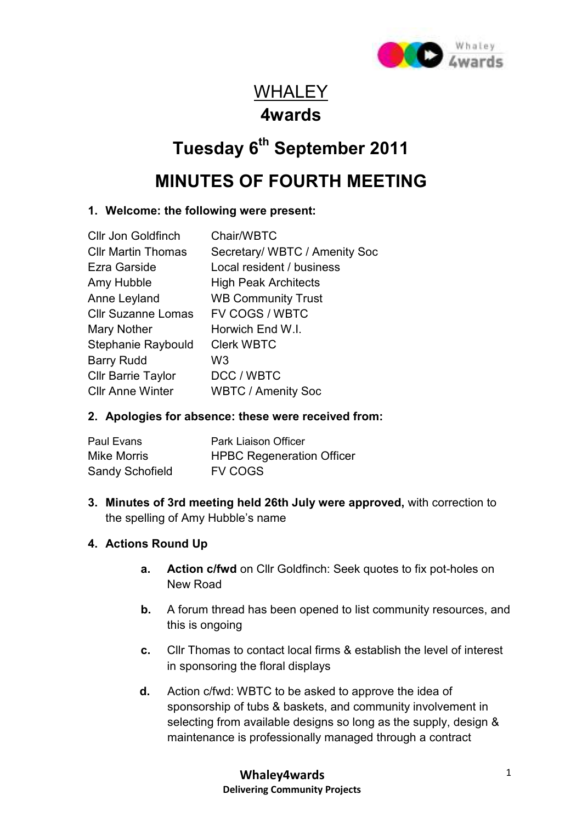

# **WHALEY 4wards**

# **Tuesday 6th September 2011**

## **MINUTES OF FOURTH MEETING**

## **1. Welcome: the following were present:**

| <b>Cllr Jon Goldfinch</b> | Chair/WBTC                    |
|---------------------------|-------------------------------|
| <b>CIIr Martin Thomas</b> | Secretary/ WBTC / Amenity Soc |
| Ezra Garside              | Local resident / business     |
| Amy Hubble                | <b>High Peak Architects</b>   |
| Anne Leyland              | <b>WB Community Trust</b>     |
| <b>Cllr Suzanne Lomas</b> | FV COGS / WBTC                |
| Mary Nother               | Horwich End W.I.              |
| Stephanie Raybould        | <b>Clerk WBTC</b>             |
| <b>Barry Rudd</b>         | W <sub>3</sub>                |
| <b>Cllr Barrie Taylor</b> | DCC / WBTC                    |
| <b>CIIr Anne Winter</b>   | <b>WBTC / Amenity Soc</b>     |
|                           |                               |

## **2. Apologies for absence: these were received from:**

| Paul Evans             | Park Liaison Officer             |
|------------------------|----------------------------------|
| Mike Morris            | <b>HPBC Regeneration Officer</b> |
| <b>Sandy Schofield</b> | <b>FV COGS</b>                   |

**3. Minutes of 3rd meeting held 26th July were approved,** with correction to the spelling of Amy Hubble's name

## **4. Actions Round Up**

- **a.** Action c/fwd on Cllr Goldfinch: Seek quotes to fix pot-holes on New Road
- **b.** A forum thread has been opened to list community resources, and this is ongoing
- **c.** Cllr Thomas to contact local firms & establish the level of interest in sponsoring the floral displays
- **d.** Action c/fwd: WBTC to be asked to approve the idea of sponsorship of tubs & baskets, and community involvement in selecting from available designs so long as the supply, design & maintenance is professionally managed through a contract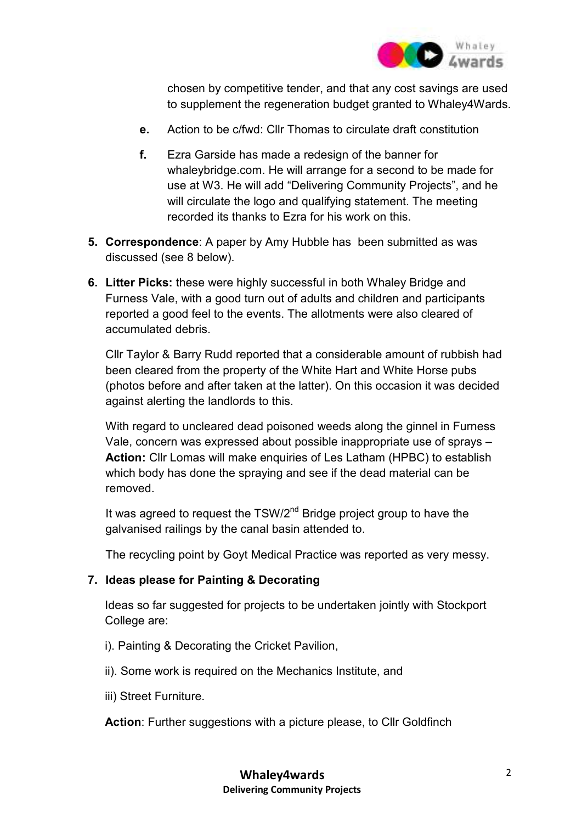

chosen by competitive tender, and that any cost savings are used to supplement the regeneration budget granted to Whaley4Wards.

- **e.** Action to be c/fwd: Cllr Thomas to circulate draft constitution
- **f.** Ezra Garside has made a redesign of the banner for whaleybridge.com. He will arrange for a second to be made for use at W3. He will add "Delivering Community Projects", and he will circulate the logo and qualifying statement. The meeting recorded its thanks to Ezra for his work on this.
- **5. Correspondence**: A paper by Amy Hubble has been submitted as was discussed (see 8 below).
- **6. Litter Picks:** these were highly successful in both Whaley Bridge and Furness Vale, with a good turn out of adults and children and participants reported a good feel to the events. The allotments were also cleared of accumulated debris.

Cllr Taylor & Barry Rudd reported that a considerable amount of rubbish had been cleared from the property of the White Hart and White Horse pubs (photos before and after taken at the latter). On this occasion it was decided against alerting the landlords to this.

With regard to uncleared dead poisoned weeds along the ginnel in Furness Vale, concern was expressed about possible inappropriate use of sprays – **Action:** Cllr Lomas will make enquiries of Les Latham (HPBC) to establish which body has done the spraying and see if the dead material can be removed.

It was agreed to request the  $TSW/2^{nd}$  Bridge project group to have the galvanised railings by the canal basin attended to.

The recycling point by Goyt Medical Practice was reported as very messy.

#### **7. Ideas please for Painting & Decorating**

Ideas so far suggested for projects to be undertaken jointly with Stockport College are:

- i). Painting & Decorating the Cricket Pavilion,
- ii). Some work is required on the Mechanics Institute, and
- iii) Street Furniture.

Action: Further suggestions with a picture please, to Cllr Goldfinch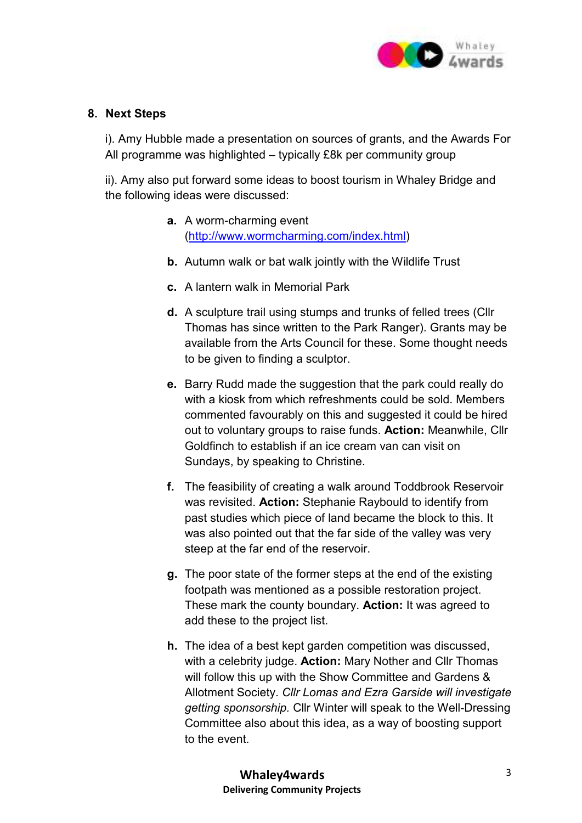

#### **8. Next Steps**

i). Amy Hubble made a presentation on sources of grants, and the Awards For All programme was highlighted – typically £8k per community group

ii). Amy also put forward some ideas to boost tourism in Whaley Bridge and the following ideas were discussed:

- **a.** A worm-charming event (http://www.wormcharming.com/index.html)
- **b.** Autumn walk or bat walk jointly with the Wildlife Trust
- **c.** A lantern walk in Memorial Park
- **d.** A sculpture trail using stumps and trunks of felled trees (Cllr Thomas has since written to the Park Ranger). Grants may be available from the Arts Council for these. Some thought needs to be given to finding a sculptor.
- **e.** Barry Rudd made the suggestion that the park could really do with a kiosk from which refreshments could be sold. Members commented favourably on this and suggested it could be hired out to voluntary groups to raise funds. **Action:** Meanwhile, Cllr Goldfinch to establish if an ice cream van can visit on Sundays, by speaking to Christine.
- **f.** The feasibility of creating a walk around Toddbrook Reservoir was revisited. **Action:** Stephanie Raybould to identify from past studies which piece of land became the block to this. It was also pointed out that the far side of the valley was very steep at the far end of the reservoir.
- **g.** The poor state of the former steps at the end of the existing footpath was mentioned as a possible restoration project. These mark the county boundary. **Action:** It was agreed to add these to the project list.
- **h.** The idea of a best kept garden competition was discussed, with a celebrity judge. **Action:** Mary Nother and Cllr Thomas will follow this up with the Show Committee and Gardens & Allotment Society. *Cllr Lomas and Ezra Garside will investigate getting sponsorship.* Cllr Winter will speak to the Well-Dressing Committee also about this idea, as a way of boosting support to the event.